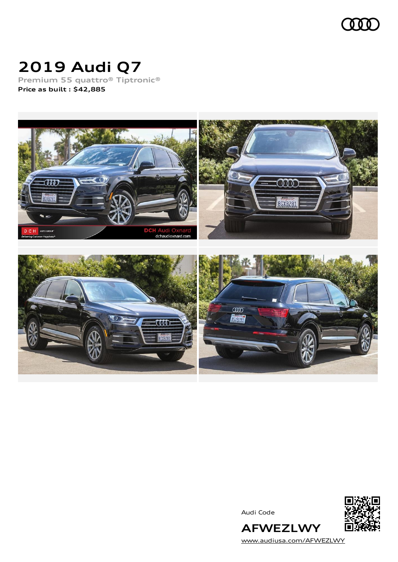

# **2019 Audi Q7**

**Premium 55 quattro® Tiptronic® Price as built [:](#page-10-0) \$42,885**



Audi Code



[www.audiusa.com/AFWEZLWY](https://www.audiusa.com/AFWEZLWY)

**AFWEZLWY**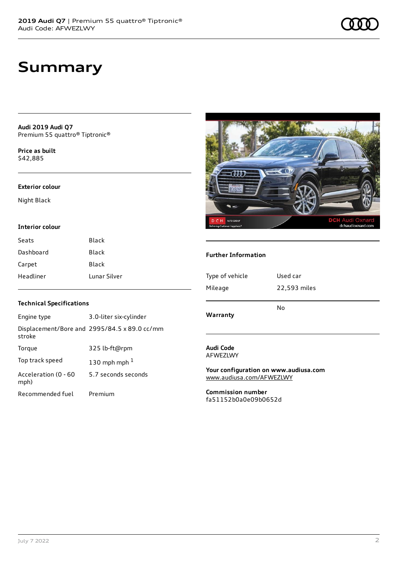**Audi 2019 Audi Q7** Premium 55 quattro® Tiptronic®

**Price as buil[t](#page-10-0)** \$42,885

#### **Exterior colour**

Night Black

#### **Interior colour**

| Seats     | Black        |
|-----------|--------------|
| Dashboard | Black        |
| Carpet    | Black        |
| Headliner | Lunar Silver |

## $\overline{\tau\overline{\tau\overline{\tau}}}$ WR2R AUTO GROUP **DCH**  $H$ dchaudioxnard.

#### **Further Information**

| Type of vehicle | Used car     |
|-----------------|--------------|
| Mileage         | 22,593 miles |
| Warranty        | No           |
|                 |              |

#### **Audi Code** AFWEZLWY

**Your configuration on www.audiusa.com** [www.audiusa.com/AFWEZLWY](https://www.audiusa.com/AFWEZLWY)

**Commission number** fa51152b0a0e09b0652d

### **Technical Specifications**

| Engine type                  | 3.0-liter six-cylinder                       |
|------------------------------|----------------------------------------------|
| stroke                       | Displacement/Bore and 2995/84.5 x 89.0 cc/mm |
| Torque                       | 325 lb-ft@rpm                                |
| Top track speed              | 130 mph mph $1$                              |
| Acceleration (0 - 60<br>mph) | 5.7 seconds seconds                          |
| Recommended fuel             | Premium                                      |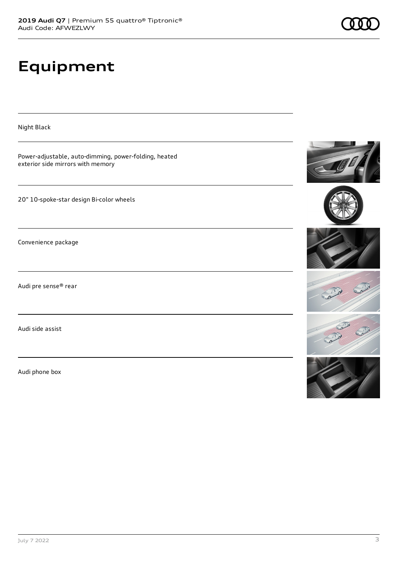# **Equipment**

Night Black Power-adjustable, auto-dimming, power-folding, heated exterior side mirrors with memory 20" 10-spoke-star design Bi-color wheels Convenience package Audi pre sense® rear Audi side assist

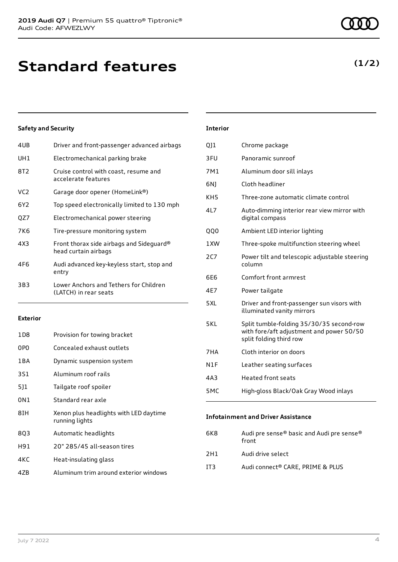| 4UB             | Driver and front-passenger advanced airbags                      |
|-----------------|------------------------------------------------------------------|
| UH1             | Electromechanical parking brake                                  |
| 8T2             | Cruise control with coast, resume and<br>accelerate features     |
| VC <sub>2</sub> | Garage door opener (HomeLink®)                                   |
| 6Y2             | Top speed electronically limited to 130 mph                      |
| QZ7             | Electromechanical power steering                                 |
| 7K6             | Tire-pressure monitoring system                                  |
| 4X3             | Front thorax side airbags and Sideguard®<br>head curtain airbags |
| 4F6             | Audi advanced key-keyless start, stop and<br>entry               |
| 3B3             | Lower Anchors and Tethers for Children<br>(LATCH) in rear seats  |
|                 |                                                                  |

#### **Exterior**

| 1 D 8 | Provision for towing bracket                             |
|-------|----------------------------------------------------------|
| 0PO   | Concealed exhaust outlets                                |
| 1 B A | Dynamic suspension system                                |
| 3S1   | Aluminum roof rails                                      |
| 511   | Tailgate roof spoiler                                    |
| 0N1   | Standard rear axle                                       |
| 8TH   | Xenon plus headlights with LED daytime<br>running lights |
| 8Q3   | Automatic headlights                                     |
| H91   | 20" 285/45 all-season tires                              |
| 4KC   | Heat-insulating glass                                    |
| 4ZB   | Aluminum trim around exterior windows                    |

#### **Interior**

| 011             | Chrome package                                                                                                  |
|-----------------|-----------------------------------------------------------------------------------------------------------------|
| 3FU             | Panoramic sunroof                                                                                               |
| 7M1             | Aluminum door sill inlays                                                                                       |
| 6N)             | Cloth headliner                                                                                                 |
| KH <sub>5</sub> | Three-zone automatic climate control                                                                            |
| 4L7             | Auto-dimming interior rear view mirror with<br>digital compass                                                  |
| QQ0             | Ambient LED interior lighting                                                                                   |
| 1XW             | Three-spoke multifunction steering wheel                                                                        |
| 2C7             | Power tilt and telescopic adjustable steering<br>column                                                         |
| 6F6             | Comfort front armrest                                                                                           |
| 4E7             | Power tailgate                                                                                                  |
| 5XL             | Driver and front-passenger sun visors with<br>illuminated vanity mirrors                                        |
| 5KL             | Split tumble-folding 35/30/35 second-row<br>with fore/aft adjustment and power 50/50<br>split folding third row |
| 7HA             | Cloth interior on doors                                                                                         |
| N1F             | Leather seating surfaces                                                                                        |
| 4A3             | <b>Heated front seats</b>                                                                                       |
| 5MC             | High-gloss Black/Oak Gray Wood inlays                                                                           |

#### **Infotainment and Driver Assistance**

| Audi pre sense® basic and Audi pre sense®<br>front |
|----------------------------------------------------|
| Audi drive select                                  |
| Audi connect® CARE. PRIME & PLUS                   |
|                                                    |

**(1/2)**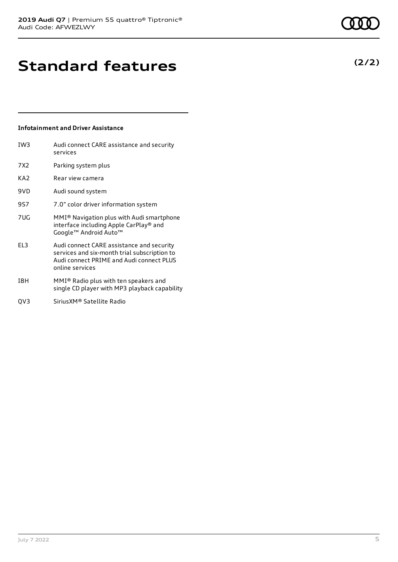**(2/2)**

### **Standard features**

#### **Infotainment and Driver Assistance**

| IW <sub>3</sub> | Audi connect CARE assistance and security<br>services                                                                                                    |
|-----------------|----------------------------------------------------------------------------------------------------------------------------------------------------------|
| 7X2             | Parking system plus                                                                                                                                      |
| KA2             | Rear view camera                                                                                                                                         |
| 9VD             | Audi sound system                                                                                                                                        |
| 9S7             | 7.0" color driver information system                                                                                                                     |
| 7UG             | MMI <sup>®</sup> Navigation plus with Audi smartphone<br>interface including Apple CarPlay® and<br>Google™ Android Auto™                                 |
| EL3             | Audi connect CARE assistance and security<br>services and six-month trial subscription to<br>Audi connect PRIME and Audi connect PLUS<br>online services |
| I8H             | MMI® Radio plus with ten speakers and<br>single CD player with MP3 playback capability                                                                   |

QV3 SiriusXM® Satellite Radio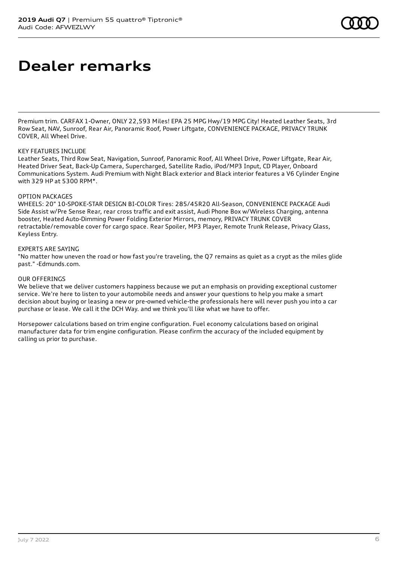### **Dealer remarks**

Premium trim. CARFAX 1-Owner, ONLY 22,593 Miles! EPA 25 MPG Hwy/19 MPG City! Heated Leather Seats, 3rd Row Seat, NAV, Sunroof, Rear Air, Panoramic Roof, Power Liftgate, CONVENIENCE PACKAGE, PRIVACY TRUNK COVER, All Wheel Drive.

#### KEY FEATURES INCLUDE

Leather Seats, Third Row Seat, Navigation, Sunroof, Panoramic Roof, All Wheel Drive, Power Liftgate, Rear Air, Heated Driver Seat, Back-Up Camera, Supercharged, Satellite Radio, iPod/MP3 Input, CD Player, Onboard Communications System. Audi Premium with Night Black exterior and Black interior features a V6 Cylinder Engine with 329 HP at 5300 RPM\*.

#### OPTION PACKAGES

WHEELS: 20" 10-SPOKE-STAR DESIGN BI-COLOR Tires: 285/45R20 All-Season, CONVENIENCE PACKAGE Audi Side Assist w/Pre Sense Rear, rear cross traffic and exit assist, Audi Phone Box w/Wireless Charging, antenna booster, Heated Auto-Dimming Power Folding Exterior Mirrors, memory, PRIVACY TRUNK COVER retractable/removable cover for cargo space. Rear Spoiler, MP3 Player, Remote Trunk Release, Privacy Glass, Keyless Entry.

#### EXPERTS ARE SAYING

"No matter how uneven the road or how fast you're traveling, the Q7 remains as quiet as a crypt as the miles glide past." -Edmunds.com.

#### OUR OFFERINGS

We believe that we deliver customers happiness because we put an emphasis on providing exceptional customer service. We're here to listen to your automobile needs and answer your questions to help you make a smart decision about buying or leasing a new or pre-owned vehicle-the professionals here will never push you into a car purchase or lease. We call it the DCH Way. and we think you'll like what we have to offer.

Horsepower calculations based on trim engine configuration. Fuel economy calculations based on original manufacturer data for trim engine configuration. Please confirm the accuracy of the included equipment by calling us prior to purchase.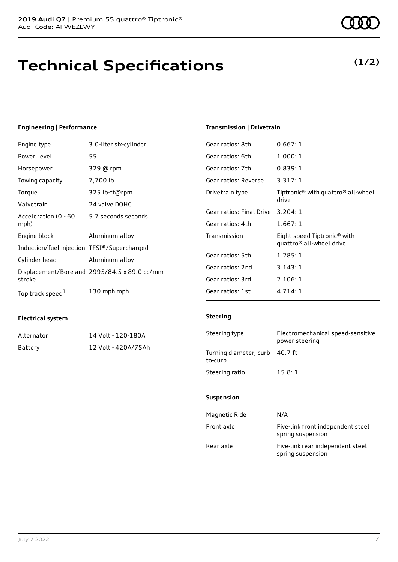### **Technical Specifications**

#### **Engineering | Performance**

| Engine type                                 | 3.0-liter six-cylinder                       |
|---------------------------------------------|----------------------------------------------|
| Power Level                                 | 55                                           |
| Horsepower                                  | 329 @ rpm                                    |
| Towing capacity                             | 7,700 lb                                     |
| Torque                                      | 325 lb-ft@rpm                                |
| Valvetrain                                  | 24 valve DOHC                                |
| Acceleration (0 - 60<br>mph)                | 5.7 seconds seconds                          |
| Engine block                                | Aluminum-alloy                               |
| Induction/fuel injection TFSI®/Supercharged |                                              |
| Cylinder head                               | Aluminum-alloy                               |
| stroke                                      | Displacement/Bore and 2995/84.5 x 89.0 cc/mm |
| Top track speed <sup>1</sup>                | 130 mph mph                                  |

#### **Electrical system**

| Alternator | 14 Volt - 120-180A  |
|------------|---------------------|
| Battery    | 12 Volt - 420A/75Ah |

### **Transmission | Drivetrain**

| Gear ratios: 8th         | 0.667:1                                                                         |
|--------------------------|---------------------------------------------------------------------------------|
| Gear ratios: 6th         | 1.000:1                                                                         |
| Gear ratios: 7th         | 0.839:1                                                                         |
| Gear ratios: Reverse     | 3.317:1                                                                         |
| Drivetrain type          | Tiptronic <sup>®</sup> with quattro <sup>®</sup> all-wheel<br>drive             |
| Gear ratios: Final Drive | 3.204:1                                                                         |
| Gear ratios: 4th         | 1.667:1                                                                         |
| Transmission             | Eight-speed Tiptronic <sup>®</sup> with<br>quattro <sup>®</sup> all-wheel drive |
| Gear ratios: 5th         | 1.285:1                                                                         |
| Gear ratios: 2nd         | 3.143:1                                                                         |
| Gear ratios: 3rd         | 2.106:1                                                                         |
| Gear ratios: 1st         | 4.714:1                                                                         |

#### **Steering**

| Steering type                              | Electromechanical speed-sensitive<br>power steering |
|--------------------------------------------|-----------------------------------------------------|
| Turning diameter, curb- 40.7 ft<br>to-curb |                                                     |
| Steering ratio                             | 15.8:1                                              |

#### **Suspension**

| Magnetic Ride | N/A                                                    |
|---------------|--------------------------------------------------------|
| Front axle    | Five-link front independent steel<br>spring suspension |
| Rear axle     | Five-link rear independent steel<br>spring suspension  |

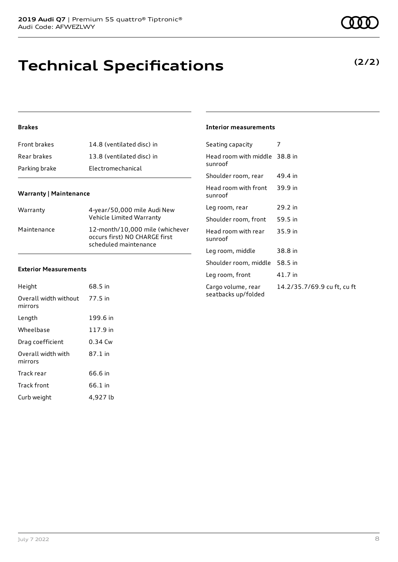### **Technical Specifications**

### **Brakes**

| Front brakes  | 14.8 (ventilated disc) in |
|---------------|---------------------------|
| Rear brakes   | 13.8 (ventilated disc) in |
| Parking brake | Electromechanical         |

#### **Warranty | Maintenance**

| Warranty    | 4-year/50,000 mile Audi New<br>Vehicle Limited Warranty                                   |
|-------------|-------------------------------------------------------------------------------------------|
| Maintenance | 12-month/10.000 mile (whichever<br>occurs first) NO CHARGE first<br>scheduled maintenance |

#### **Exterior Measurements**

| Height                           | 68.5 in   |
|----------------------------------|-----------|
| Overall width without<br>mirrors | 77.5 in   |
| Length                           | 199.6 in  |
| Wheelbase                        | 117.9 in  |
| Drag coefficient                 | $0.34$ Cw |
| Overall width with<br>mirrors    | 87.1 in   |
| Track rear                       | 66.6 in   |
| Track front                      | 66.1 in   |
| Curb weight                      | 4,927 lb  |

#### **Interior measurements**

| Head room with middle 38.8 in<br>sunroof                                 |  |
|--------------------------------------------------------------------------|--|
|                                                                          |  |
| Shoulder room, rear<br>49.4 in                                           |  |
| Head room with front<br>39.9 in<br>sunroof                               |  |
| 29.2 in<br>Leg room, rear                                                |  |
| 59.5 in<br>Shoulder room, front                                          |  |
| Head room with rear<br>35.9 in<br>sunroof                                |  |
| Leg room, middle<br>38.8 in                                              |  |
| Shoulder room, middle<br>58.5 in                                         |  |
| 41.7 in<br>Leg room, front                                               |  |
| 14.2/35.7/69.9 cu ft, cu ft<br>Cargo volume, rear<br>seatbacks up/folded |  |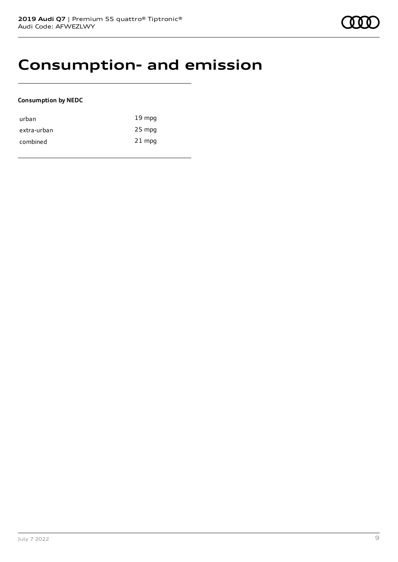### **Consumption- and emission**

#### **Consumption by NEDC**

| urban       | $19 \text{ mpg}$ |
|-------------|------------------|
| extra-urban | 25 mpg           |
| combined    | $21$ mpg         |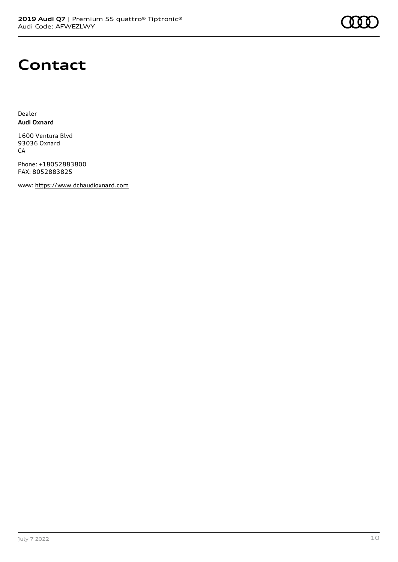# **Contact**

Dealer **Audi Oxnard**

1600 Ventura Blvd 93036 Oxnard CA

Phone: +18052883800 FAX: 8052883825

www: [https://www.dchaudioxnard.com](https://www.dchaudioxnard.com/)